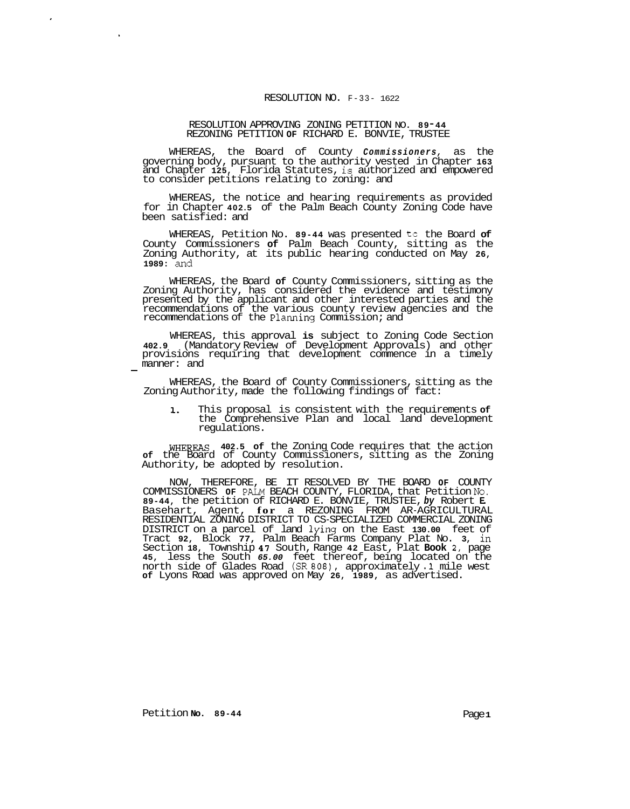## RESOLUTION NO. F-33- 1622

## RESOLUTION APPROVING ZONING PETITION NO. **8 9** - **<sup>44</sup>** REZONING PETITION **OF** RICHARD E. BONVIE, TRUSTEE

WHEREAS, the Board of County *Commissioners,* as the governing body, pursuant to the authority vested in Chapter **163**  and Chapter **125,** Florida Statutes, is authorized and empowered to consider petitions relating to zoning: and

WHEREAS, the notice and hearing requirements as provided for in Chapter **402.5** of the Palm Beach County Zoning Code have been satisfied: and

WHEREAS, Petition No. 89-44 was presented to the Board of County Commissioners **of** Palm Beach County, sitting as the Zoning Authority, at its public hearing conducted on May **26, 1989:** and

WHEREAS, the Board **of** County Commissioners, sitting as the Zoning Authority, has considered the evidence and testimony presented by the applicant and other interested parties and the recommendations of the various county review agencies and the recommendations of the Planning Commission; and

WHEREAS, this approval **is** subject to Zoning Code Section **402.9** (Mandatory Review of Development Approvals) and other provisions requiring that development commence in a timely provisions<br>manner: and<br>-

WHEREAS, the Board of County Commissioners, sitting as the Zoning Authority, made the following findings of fact:

**1.** This proposal is consistent with the requirements **of**  the Comprehensive Plan and local land development regulations.

WHEREAS **402.5 of** the Zoning Code requires that the action **of** the Board of County Commissioners, sitting as the Zoning Authority, be adopted by resolution.

COMMISSIONERS **OF** PALM BEACH COUNTY, FLORIDA, that Petition **No. 89-44,** the petition of RICHARD E. BONVIE, TRUSTEE, *by* Robert **E.**  Basehart, Agent, **for** a REZONING FROM AR-AGRICULTURAL DISTRICT on a parcel of land lying on the East **130.00** feet of Tract **92,** Block **77,** Palm Beach Farms Company Plat No. **3,** in Section **18,** Township **47** South, Range **42** East, Plat **Book 2,** page **45,** less the South *65.00* feet thereof, being located on the north side of Glades Road (SR *808),* approximately *.1* mile west **of** Lyons Road was approved on May **26, 1989,** as advertised. NOW, THEREFORE, BE IT RESOLVED BY THE BOARD **OF** COUNTY RESIDENTIAL ZONING DISTRICT TO CS-SPECIALIZED COMMERCIAL ZONING